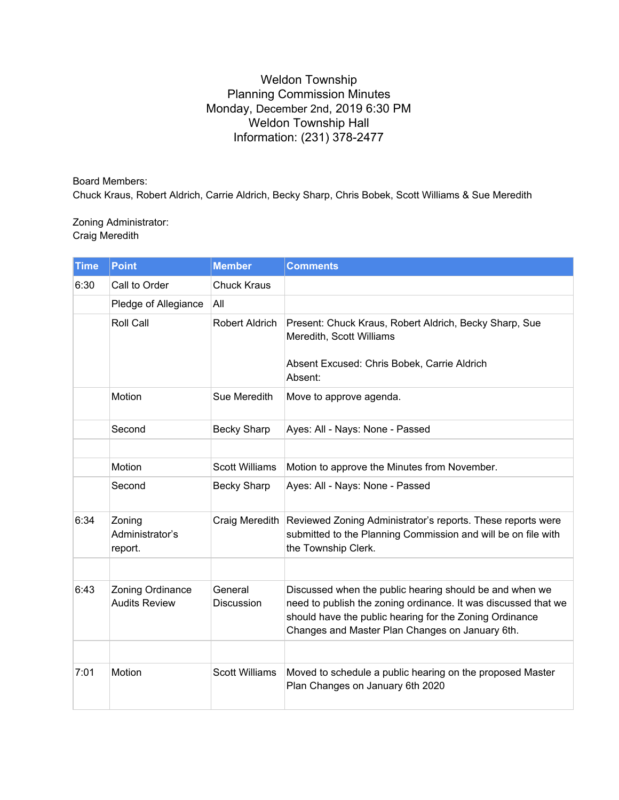## Weldon Township Planning Commission Minutes Monday, December 2nd, 2019 6:30 PM Weldon Township Hall Information: (231) 378-2477

Board Members: Chuck Kraus, Robert Aldrich, Carrie Aldrich, Becky Sharp, Chris Bobek, Scott Williams & Sue Meredith

Zoning Administrator: Craig Meredith

| <b>Time</b> | <b>Point</b>                             | <b>Member</b>                | <b>Comments</b>                                                                                                                                                                                                                         |
|-------------|------------------------------------------|------------------------------|-----------------------------------------------------------------------------------------------------------------------------------------------------------------------------------------------------------------------------------------|
| 6:30        | Call to Order                            | <b>Chuck Kraus</b>           |                                                                                                                                                                                                                                         |
|             | Pledge of Allegiance                     | All                          |                                                                                                                                                                                                                                         |
|             | <b>Roll Call</b>                         | Robert Aldrich               | Present: Chuck Kraus, Robert Aldrich, Becky Sharp, Sue<br>Meredith, Scott Williams<br>Absent Excused: Chris Bobek, Carrie Aldrich<br>Absent:                                                                                            |
|             | Motion                                   | Sue Meredith                 | Move to approve agenda.                                                                                                                                                                                                                 |
|             | Second                                   | <b>Becky Sharp</b>           | Ayes: All - Nays: None - Passed                                                                                                                                                                                                         |
|             |                                          |                              |                                                                                                                                                                                                                                         |
|             | Motion                                   | <b>Scott Williams</b>        | Motion to approve the Minutes from November.                                                                                                                                                                                            |
|             | Second                                   | <b>Becky Sharp</b>           | Ayes: All - Nays: None - Passed                                                                                                                                                                                                         |
| 6:34        | Zoning<br>Administrator's<br>report.     | Craig Meredith               | Reviewed Zoning Administrator's reports. These reports were<br>submitted to the Planning Commission and will be on file with<br>the Township Clerk.                                                                                     |
|             |                                          |                              |                                                                                                                                                                                                                                         |
| 6:43        | Zoning Ordinance<br><b>Audits Review</b> | General<br><b>Discussion</b> | Discussed when the public hearing should be and when we<br>need to publish the zoning ordinance. It was discussed that we<br>should have the public hearing for the Zoning Ordinance<br>Changes and Master Plan Changes on January 6th. |
|             |                                          |                              |                                                                                                                                                                                                                                         |
| 7:01        | Motion                                   | <b>Scott Williams</b>        | Moved to schedule a public hearing on the proposed Master<br>Plan Changes on January 6th 2020                                                                                                                                           |